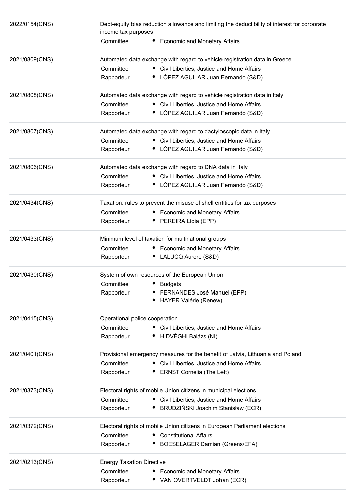| 2022/0154(CNS) | Debt-equity bias reduction allowance and limiting the deductibility of interest for corporate<br>income tax purposes |  |  |
|----------------|----------------------------------------------------------------------------------------------------------------------|--|--|
|                | Committee<br><b>Economic and Monetary Affairs</b>                                                                    |  |  |
| 2021/0809(CNS) | Automated data exchange with regard to vehicle registration data in Greece                                           |  |  |
|                | Committee<br>• Civil Liberties, Justice and Home Affairs                                                             |  |  |
|                | • LÓPEZ AGUILAR Juan Fernando (S&D)<br>Rapporteur                                                                    |  |  |
| 2021/0808(CNS) | Automated data exchange with regard to vehicle registration data in Italy                                            |  |  |
|                | Committee<br>• Civil Liberties, Justice and Home Affairs                                                             |  |  |
|                | • LÓPEZ AGUILAR Juan Fernando (S&D)<br>Rapporteur                                                                    |  |  |
| 2021/0807(CNS) | Automated data exchange with regard to dactyloscopic data in Italy                                                   |  |  |
|                | Committee<br>• Civil Liberties, Justice and Home Affairs                                                             |  |  |
|                | • LÓPEZ AGUILAR Juan Fernando (S&D)<br>Rapporteur                                                                    |  |  |
| 2021/0806(CNS) | Automated data exchange with regard to DNA data in Italy                                                             |  |  |
|                | Committee<br>• Civil Liberties, Justice and Home Affairs                                                             |  |  |
|                | • LÓPEZ AGUILAR Juan Fernando (S&D)<br>Rapporteur                                                                    |  |  |
| 2021/0434(CNS) | Taxation: rules to prevent the misuse of shell entities for tax purposes                                             |  |  |
|                | Committee<br><b>Economic and Monetary Affairs</b>                                                                    |  |  |
|                | PEREIRA Lídia (EPP)<br>Rapporteur                                                                                    |  |  |
| 2021/0433(CNS) | Minimum level of taxation for multinational groups                                                                   |  |  |
|                | Committee<br>• Economic and Monetary Affairs                                                                         |  |  |
|                | • LALUCQ Aurore (S&D)<br>Rapporteur                                                                                  |  |  |
| 2021/0430(CNS) | System of own resources of the European Union                                                                        |  |  |
|                | Committee<br>• Budgets                                                                                               |  |  |
|                | FERNANDES José Manuel (EPP)<br>Rapporteur<br><b>HAYER Valérie (Renew)</b>                                            |  |  |
| 2021/0415(CNS) | Operational police cooperation                                                                                       |  |  |
|                | Committee<br>• Civil Liberties, Justice and Home Affairs                                                             |  |  |
|                | HIDVÉGHI Balázs (NI)<br>Rapporteur                                                                                   |  |  |
| 2021/0401(CNS) | Provisional emergency measures for the benefit of Latvia, Lithuania and Poland                                       |  |  |
|                | Committee<br>• Civil Liberties, Justice and Home Affairs                                                             |  |  |
|                | <b>ERNST Cornelia (The Left)</b><br>Rapporteur                                                                       |  |  |
| 2021/0373(CNS) | Electoral rights of mobile Union citizens in municipal elections                                                     |  |  |
|                | Committee<br>• Civil Liberties, Justice and Home Affairs                                                             |  |  |
|                | BRUDZIŃSKI Joachim Stanisław (ECR)<br>Rapporteur                                                                     |  |  |
| 2021/0372(CNS) | Electoral rights of mobile Union citizens in European Parliament elections                                           |  |  |
|                | Committee<br>• Constitutional Affairs                                                                                |  |  |
|                | Rapporteur<br>BOESELAGER Damian (Greens/EFA)                                                                         |  |  |
| 2021/0213(CNS) | <b>Energy Taxation Directive</b>                                                                                     |  |  |
|                | Committee<br><b>Economic and Monetary Affairs</b>                                                                    |  |  |
|                | • VAN OVERTVELDT Johan (ECR)<br>Rapporteur                                                                           |  |  |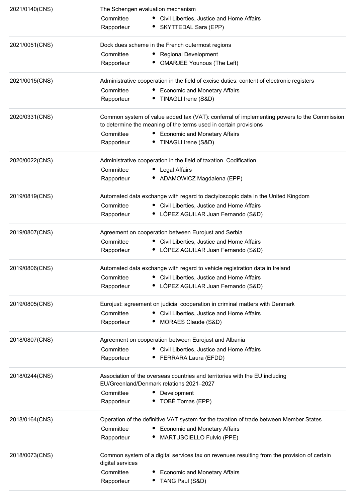| 2021/0140(CNS) |                                                                                           | The Schengen evaluation mechanism                                                                                                                              |  |  |
|----------------|-------------------------------------------------------------------------------------------|----------------------------------------------------------------------------------------------------------------------------------------------------------------|--|--|
|                | Committee                                                                                 | • Civil Liberties, Justice and Home Affairs                                                                                                                    |  |  |
|                | Rapporteur                                                                                | • SKYTTEDAL Sara (EPP)                                                                                                                                         |  |  |
| 2021/0051(CNS) |                                                                                           | Dock dues scheme in the French outermost regions                                                                                                               |  |  |
|                | Committee                                                                                 | • Regional Development                                                                                                                                         |  |  |
|                | Rapporteur                                                                                | • OMARJEE Younous (The Left)                                                                                                                                   |  |  |
| 2021/0015(CNS) | Administrative cooperation in the field of excise duties: content of electronic registers |                                                                                                                                                                |  |  |
|                | Committee                                                                                 | • Economic and Monetary Affairs                                                                                                                                |  |  |
|                | Rapporteur                                                                                | • TINAGLI Irene (S&D)                                                                                                                                          |  |  |
| 2020/0331(CNS) |                                                                                           | Common system of value added tax (VAT): conferral of implementing powers to the Commission<br>to determine the meaning of the terms used in certain provisions |  |  |
|                | Committee                                                                                 | • Economic and Monetary Affairs                                                                                                                                |  |  |
|                | Rapporteur                                                                                | • TINAGLI Irene (S&D)                                                                                                                                          |  |  |
| 2020/0022(CNS) |                                                                                           | Administrative cooperation in the field of taxation. Codification                                                                                              |  |  |
|                | Committee                                                                                 | • Legal Affairs                                                                                                                                                |  |  |
|                | Rapporteur                                                                                | • ADAMOWICZ Magdalena (EPP)                                                                                                                                    |  |  |
| 2019/0819(CNS) |                                                                                           | Automated data exchange with regard to dactyloscopic data in the United Kingdom                                                                                |  |  |
|                | Committee                                                                                 | • Civil Liberties, Justice and Home Affairs                                                                                                                    |  |  |
|                | Rapporteur                                                                                | • LÓPEZ AGUILAR Juan Fernando (S&D)                                                                                                                            |  |  |
| 2019/0807(CNS) |                                                                                           | Agreement on cooperation between Eurojust and Serbia                                                                                                           |  |  |
|                | Committee                                                                                 | • Civil Liberties, Justice and Home Affairs                                                                                                                    |  |  |
|                | Rapporteur                                                                                | • LÓPEZ AGUILAR Juan Fernando (S&D)                                                                                                                            |  |  |
| 2019/0806(CNS) |                                                                                           | Automated data exchange with regard to vehicle registration data in Ireland                                                                                    |  |  |
|                | Committee                                                                                 | Civil Liberties, Justice and Home Affairs                                                                                                                      |  |  |
|                | Rapporteur                                                                                | LÓPEZ AGUILAR Juan Fernando (S&D)                                                                                                                              |  |  |
| 2019/0805(CNS) |                                                                                           | Eurojust: agreement on judicial cooperation in criminal matters with Denmark                                                                                   |  |  |
|                | Committee                                                                                 | Civil Liberties, Justice and Home Affairs                                                                                                                      |  |  |
|                | Rapporteur                                                                                | MORAES Claude (S&D)                                                                                                                                            |  |  |
| 2018/0807(CNS) |                                                                                           | Agreement on cooperation between Eurojust and Albania                                                                                                          |  |  |
|                | Committee                                                                                 | Civil Liberties, Justice and Home Affairs                                                                                                                      |  |  |
|                | Rapporteur                                                                                | FERRARA Laura (EFDD)                                                                                                                                           |  |  |
| 2018/0244(CNS) |                                                                                           | Association of the overseas countries and territories with the EU including                                                                                    |  |  |
|                |                                                                                           | EU/Greenland/Denmark relations 2021-2027                                                                                                                       |  |  |
|                | Committee                                                                                 | • Development                                                                                                                                                  |  |  |
|                | Rapporteur                                                                                | • TOBÉ Tomas (EPP)                                                                                                                                             |  |  |
| 2018/0164(CNS) |                                                                                           | Operation of the definitive VAT system for the taxation of trade between Member States                                                                         |  |  |
|                | Committee                                                                                 | <b>Economic and Monetary Affairs</b>                                                                                                                           |  |  |
|                | Rapporteur                                                                                | MARTUSCIELLO Fulvio (PPE)                                                                                                                                      |  |  |
| 2018/0073(CNS) | digital services                                                                          | Common system of a digital services tax on revenues resulting from the provision of certain                                                                    |  |  |
|                | Committee                                                                                 | <b>Economic and Monetary Affairs</b>                                                                                                                           |  |  |
|                | Rapporteur                                                                                | TANG Paul (S&D)                                                                                                                                                |  |  |
|                |                                                                                           |                                                                                                                                                                |  |  |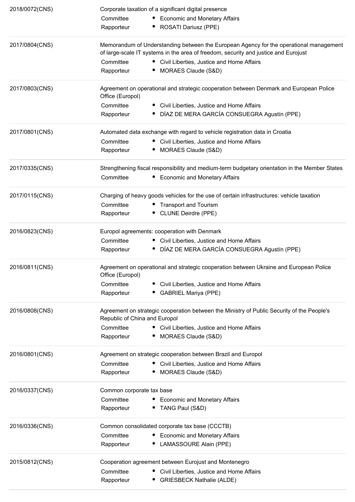| 2018/0072(CNS) | Corporate taxation of a significant digital presence                                                                                                                          |                                             |  |  |
|----------------|-------------------------------------------------------------------------------------------------------------------------------------------------------------------------------|---------------------------------------------|--|--|
|                | Committee<br>• Economic and Monetary Affairs                                                                                                                                  |                                             |  |  |
|                | Rapporteur<br>ROSATI Dariusz (PPE)                                                                                                                                            |                                             |  |  |
| 2017/0804(CNS) | Memorandum of Understanding between the European Agency for the operational management<br>of large-scale IT systems in the area of freedom, security and justice and Eurojust |                                             |  |  |
|                | • Civil Liberties, Justice and Home Affairs<br>Committee                                                                                                                      |                                             |  |  |
|                | Rapporteur<br>MORAES Claude (S&D)                                                                                                                                             |                                             |  |  |
| 2017/0803(CNS) | Agreement on operational and strategic cooperation between Denmark and European Police<br>Office (Europol)                                                                    |                                             |  |  |
|                | Committee<br>• Civil Liberties, Justice and Home Affairs                                                                                                                      |                                             |  |  |
|                | Rapporteur                                                                                                                                                                    | DÍAZ DE MERA GARCÍA CONSUEGRA Agustín (PPE) |  |  |
| 2017/0801(CNS) | Automated data exchange with regard to vehicle registration data in Croatia                                                                                                   |                                             |  |  |
|                | Committee<br>• Civil Liberties, Justice and Home Affairs                                                                                                                      |                                             |  |  |
|                | MORAES Claude (S&D)<br>Rapporteur                                                                                                                                             |                                             |  |  |
| 2017/0335(CNS) | Strengthening fiscal responsibility and medium-term budgetary orientation in the Member States                                                                                |                                             |  |  |
|                | Committee<br><b>Economic and Monetary Affairs</b>                                                                                                                             |                                             |  |  |
| 2017/0115(CNS) | Charging of heavy goods vehicles for the use of certain infrastructures: vehicle taxation                                                                                     |                                             |  |  |
|                | Committee<br>• Transport and Tourism                                                                                                                                          |                                             |  |  |
|                | • CLUNE Deirdre (PPE)<br>Rapporteur                                                                                                                                           |                                             |  |  |
| 2016/0823(CNS) | Europol agreements: cooperation with Denmark                                                                                                                                  |                                             |  |  |
|                | Committee<br>• Civil Liberties, Justice and Home Affairs                                                                                                                      |                                             |  |  |
|                | Rapporteur                                                                                                                                                                    | DÍAZ DE MERA GARCÍA CONSUEGRA Agustín (PPE) |  |  |
| 2016/0811(CNS) | Agreement on operational and strategic cooperation between Ukraine and European Police<br>Office (Europol)                                                                    |                                             |  |  |
|                | Committee<br>Civil Liberties, Justice and Home Affairs                                                                                                                        |                                             |  |  |
|                | <b>GABRIEL Mariya (PPE)</b><br>Rapporteur                                                                                                                                     |                                             |  |  |
| 2016/0808(CNS) | Agreement on strategic cooperation between the Ministry of Public Security of the People's<br>Republic of China and Europol                                                   |                                             |  |  |
|                | Committee<br>• Civil Liberties, Justice and Home Affairs                                                                                                                      |                                             |  |  |
|                | MORAES Claude (S&D)<br>Rapporteur                                                                                                                                             |                                             |  |  |
| 2016/0801(CNS) | Agreement on strategic cooperation between Brazil and Europol                                                                                                                 |                                             |  |  |
|                | Committee<br>Civil Liberties, Justice and Home Affairs                                                                                                                        |                                             |  |  |
|                | MORAES Claude (S&D)<br>Rapporteur                                                                                                                                             |                                             |  |  |
| 2016/0337(CNS) | Common corporate tax base                                                                                                                                                     |                                             |  |  |
|                | Committee<br><b>Economic and Monetary Affairs</b>                                                                                                                             |                                             |  |  |
|                | TANG Paul (S&D)<br>Rapporteur                                                                                                                                                 |                                             |  |  |
| 2016/0336(CNS) | Common consolidated corporate tax base (CCCTB)                                                                                                                                |                                             |  |  |
|                | Committee<br><b>Economic and Monetary Affairs</b>                                                                                                                             |                                             |  |  |
|                | LAMASSOURE Alain (PPE)<br>Rapporteur                                                                                                                                          |                                             |  |  |
| 2015/0812(CNS) | Cooperation agreement between Eurojust and Montenegro                                                                                                                         |                                             |  |  |
|                | Committee<br>Civil Liberties, Justice and Home Affairs                                                                                                                        |                                             |  |  |
|                | Rapporteur<br><b>GRIESBECK Nathalie (ALDE)</b>                                                                                                                                |                                             |  |  |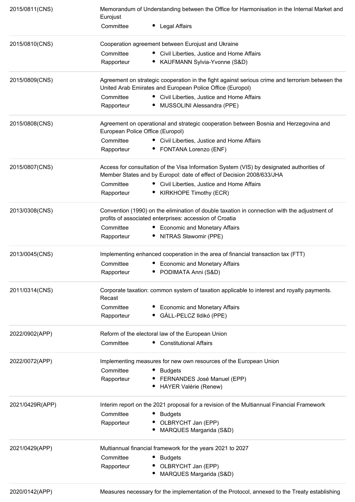| 2015/0811(CNS)  | Memorandum of Understanding between the Office for Harmonisation in the Internal Market and<br>Eurojust                                                            |  |  |
|-----------------|--------------------------------------------------------------------------------------------------------------------------------------------------------------------|--|--|
|                 | Committee<br>• Legal Affairs                                                                                                                                       |  |  |
| 2015/0810(CNS)  | Cooperation agreement between Eurojust and Ukraine                                                                                                                 |  |  |
|                 | Committee<br>• Civil Liberties, Justice and Home Affairs                                                                                                           |  |  |
|                 | • KAUFMANN Sylvia-Yvonne (S&D)<br>Rapporteur                                                                                                                       |  |  |
| 2015/0809(CNS)  | Agreement on strategic cooperation in the fight against serious crime and terrorism between the<br>United Arab Emirates and European Police Office (Europol)       |  |  |
|                 | • Civil Liberties, Justice and Home Affairs<br>Committee                                                                                                           |  |  |
|                 | · MUSSOLINI Alessandra (PPE)<br>Rapporteur                                                                                                                         |  |  |
| 2015/0808(CNS)  | Agreement on operational and strategic cooperation between Bosnia and Herzegovina and<br>European Police Office (Europol)                                          |  |  |
|                 | Committee<br>• Civil Liberties, Justice and Home Affairs                                                                                                           |  |  |
|                 | Rapporteur<br>• FONTANA Lorenzo (ENF)                                                                                                                              |  |  |
| 2015/0807(CNS)  | Access for consultation of the Visa Information System (VIS) by designated authorities of<br>Member States and by Europol: date of effect of Decision 2008/633/JHA |  |  |
|                 | Committee<br>• Civil Liberties, Justice and Home Affairs                                                                                                           |  |  |
|                 | • KIRKHOPE Timothy (ECR)<br>Rapporteur                                                                                                                             |  |  |
| 2013/0308(CNS)  | Convention (1990) on the elimination of double taxation in connection with the adjustment of<br>profits of associated enterprises: accession of Croatia            |  |  |
|                 | Committee<br>• Economic and Monetary Affairs                                                                                                                       |  |  |
|                 | • NITRAS Sławomir (PPE)<br>Rapporteur                                                                                                                              |  |  |
| 2013/0045(CNS)  | Implementing enhanced cooperation in the area of financial transaction tax (FTT)                                                                                   |  |  |
|                 | Committee<br><b>Economic and Monetary Affairs</b>                                                                                                                  |  |  |
|                 | • PODIMATA Anni (S&D)<br>Rapporteur                                                                                                                                |  |  |
| 2011/0314(CNS)  | Corporate taxation: common system of taxation applicable to interest and royalty payments.<br>Recast                                                               |  |  |
|                 | Committee<br><b>Economic and Monetary Affairs</b>                                                                                                                  |  |  |
|                 | • GÁLL-PELCZ Ildikó (PPE)<br>Rapporteur                                                                                                                            |  |  |
| 2022/0902(APP)  | Reform of the electoral law of the European Union                                                                                                                  |  |  |
|                 | • Constitutional Affairs<br>Committee                                                                                                                              |  |  |
| 2022/0072(APP)  | Implementing measures for new own resources of the European Union                                                                                                  |  |  |
|                 | Committee<br><b>Budgets</b>                                                                                                                                        |  |  |
|                 | FERNANDES José Manuel (EPP)<br>Rapporteur<br><b>HAYER Valérie (Renew)</b>                                                                                          |  |  |
| 2021/0429R(APP) | Interim report on the 2021 proposal for a revision of the Multiannual Financial Framework                                                                          |  |  |
|                 | Committee<br><b>Budgets</b>                                                                                                                                        |  |  |
|                 | Rapporteur<br>OLBRYCHT Jan (EPP)                                                                                                                                   |  |  |
|                 | MARQUES Margarida (S&D)                                                                                                                                            |  |  |
| 2021/0429(APP)  | Multiannual financial framework for the years 2021 to 2027                                                                                                         |  |  |
|                 | Committee<br><b>Budgets</b>                                                                                                                                        |  |  |
|                 | OLBRYCHT Jan (EPP)<br>Rapporteur                                                                                                                                   |  |  |
|                 | MARQUES Margarida (S&D)                                                                                                                                            |  |  |
|                 |                                                                                                                                                                    |  |  |